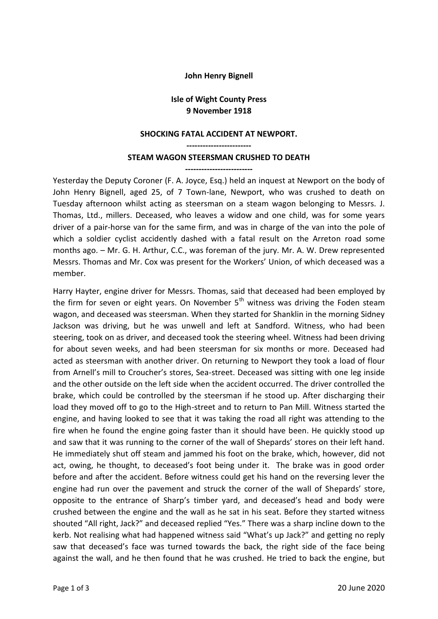## **John Henry Bignell**

## **Isle of Wight County Press 9 November 1918**

## **SHOCKING FATAL ACCIDENT AT NEWPORT.**

**------------------------ STEAM WAGON STEERSMAN CRUSHED TO DEATH**

**-------------------------** Yesterday the Deputy Coroner (F. A. Joyce, Esq.) held an inquest at Newport on the body of John Henry Bignell, aged 25, of 7 Town-lane, Newport, who was crushed to death on Tuesday afternoon whilst acting as steersman on a steam wagon belonging to Messrs. J. Thomas, Ltd., millers. Deceased, who leaves a widow and one child, was for some years driver of a pair-horse van for the same firm, and was in charge of the van into the pole of which a soldier cyclist accidently dashed with a fatal result on the Arreton road some months ago. – Mr. G. H. Arthur, C.C., was foreman of the jury. Mr. A. W. Drew represented Messrs. Thomas and Mr. Cox was present for the Workers' Union, of which deceased was a member.

Harry Hayter, engine driver for Messrs. Thomas, said that deceased had been employed by the firm for seven or eight years. On November  $5<sup>th</sup>$  witness was driving the Foden steam wagon, and deceased was steersman. When they started for Shanklin in the morning Sidney Jackson was driving, but he was unwell and left at Sandford. Witness, who had been steering, took on as driver, and deceased took the steering wheel. Witness had been driving for about seven weeks, and had been steersman for six months or more. Deceased had acted as steersman with another driver. On returning to Newport they took a load of flour from Arnell's mill to Croucher's stores, Sea-street. Deceased was sitting with one leg inside and the other outside on the left side when the accident occurred. The driver controlled the brake, which could be controlled by the steersman if he stood up. After discharging their load they moved off to go to the High-street and to return to Pan Mill. Witness started the engine, and having looked to see that it was taking the road all right was attending to the fire when he found the engine going faster than it should have been. He quickly stood up and saw that it was running to the corner of the wall of Shepards' stores on their left hand. He immediately shut off steam and jammed his foot on the brake, which, however, did not act, owing, he thought, to deceased's foot being under it. The brake was in good order before and after the accident. Before witness could get his hand on the reversing lever the engine had run over the pavement and struck the corner of the wall of Shepards' store, opposite to the entrance of Sharp's timber yard, and deceased's head and body were crushed between the engine and the wall as he sat in his seat. Before they started witness shouted "All right, Jack?" and deceased replied "Yes." There was a sharp incline down to the kerb. Not realising what had happened witness said "What's up Jack?" and getting no reply saw that deceased's face was turned towards the back, the right side of the face being against the wall, and he then found that he was crushed. He tried to back the engine, but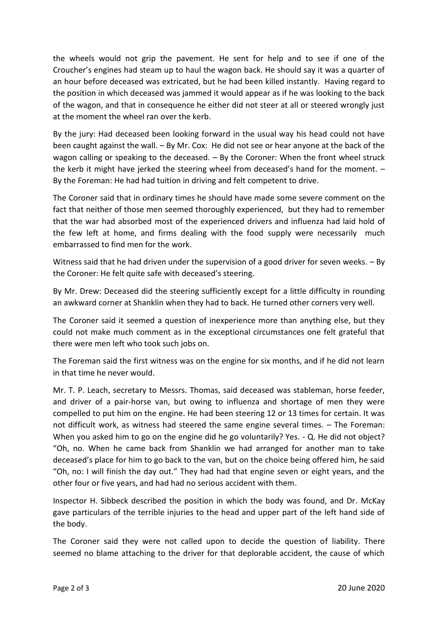the wheels would not grip the pavement. He sent for help and to see if one of the Croucher's engines had steam up to haul the wagon back. He should say it was a quarter of an hour before deceased was extricated, but he had been killed instantly. Having regard to the position in which deceased was jammed it would appear as if he was looking to the back of the wagon, and that in consequence he either did not steer at all or steered wrongly just at the moment the wheel ran over the kerb.

By the jury: Had deceased been looking forward in the usual way his head could not have been caught against the wall. – By Mr. Cox: He did not see or hear anyone at the back of the wagon calling or speaking to the deceased. – By the Coroner: When the front wheel struck the kerb it might have jerked the steering wheel from deceased's hand for the moment. – By the Foreman: He had had tuition in driving and felt competent to drive.

The Coroner said that in ordinary times he should have made some severe comment on the fact that neither of those men seemed thoroughly experienced, but they had to remember that the war had absorbed most of the experienced drivers and influenza had laid hold of the few left at home, and firms dealing with the food supply were necessarily much embarrassed to find men for the work.

Witness said that he had driven under the supervision of a good driver for seven weeks. - By the Coroner: He felt quite safe with deceased's steering.

By Mr. Drew: Deceased did the steering sufficiently except for a little difficulty in rounding an awkward corner at Shanklin when they had to back. He turned other corners very well.

The Coroner said it seemed a question of inexperience more than anything else, but they could not make much comment as in the exceptional circumstances one felt grateful that there were men left who took such jobs on.

The Foreman said the first witness was on the engine for six months, and if he did not learn in that time he never would.

Mr. T. P. Leach, secretary to Messrs. Thomas, said deceased was stableman, horse feeder, and driver of a pair-horse van, but owing to influenza and shortage of men they were compelled to put him on the engine. He had been steering 12 or 13 times for certain. It was not difficult work, as witness had steered the same engine several times. – The Foreman: When you asked him to go on the engine did he go voluntarily? Yes. - Q. He did not object? "Oh, no. When he came back from Shanklin we had arranged for another man to take deceased's place for him to go back to the van, but on the choice being offered him, he said "Oh, no: I will finish the day out." They had had that engine seven or eight years, and the other four or five years, and had had no serious accident with them.

Inspector H. Sibbeck described the position in which the body was found, and Dr. McKay gave particulars of the terrible injuries to the head and upper part of the left hand side of the body.

The Coroner said they were not called upon to decide the question of liability. There seemed no blame attaching to the driver for that deplorable accident, the cause of which